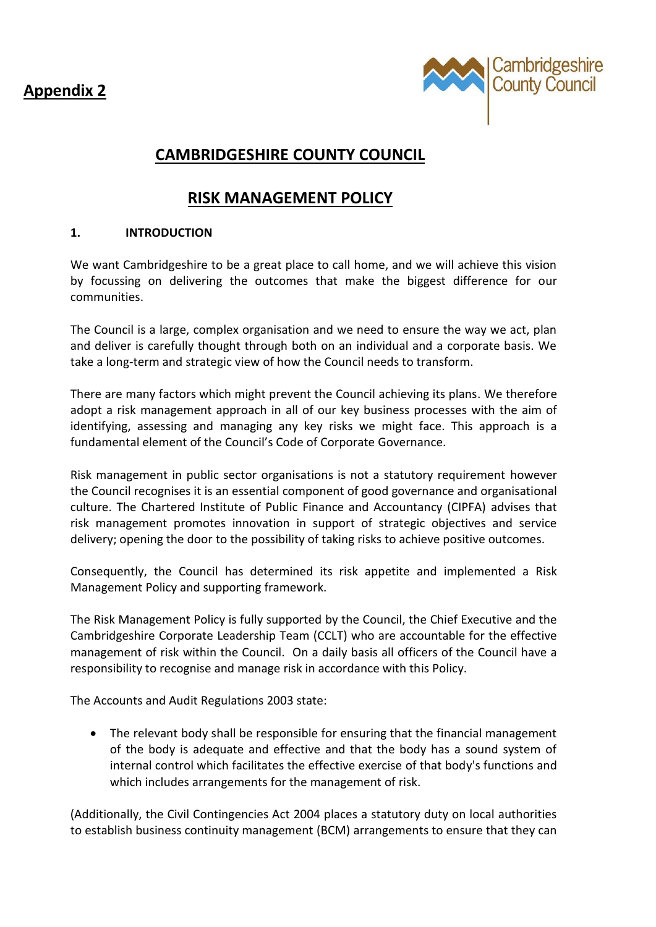**Appendix 2**



# **CAMBRIDGESHIRE COUNTY COUNCIL**

# **RISK MANAGEMENT POLICY**

## **1. INTRODUCTION**

We want Cambridgeshire to be a great place to call home, and we will achieve this vision by focussing on delivering the outcomes that make the biggest difference for our communities.

The Council is a large, complex organisation and we need to ensure the way we act, plan and deliver is carefully thought through both on an individual and a corporate basis. We take a long-term and strategic view of how the Council needs to transform.

There are many factors which might prevent the Council achieving its plans. We therefore adopt a risk management approach in all of our key business processes with the aim of identifying, assessing and managing any key risks we might face. This approach is a fundamental element of the Council's Code of Corporate Governance.

Risk management in public sector organisations is not a statutory requirement however the Council recognises it is an essential component of good governance and organisational culture. The Chartered Institute of Public Finance and Accountancy (CIPFA) advises that risk management promotes innovation in support of strategic objectives and service delivery; opening the door to the possibility of taking risks to achieve positive outcomes.

Consequently, the Council has determined its risk appetite and implemented a Risk Management Policy and supporting framework.

The Risk Management Policy is fully supported by the Council, the Chief Executive and the Cambridgeshire Corporate Leadership Team (CCLT) who are accountable for the effective management of risk within the Council. On a daily basis all officers of the Council have a responsibility to recognise and manage risk in accordance with this Policy.

The Accounts and Audit Regulations 2003 state:

• The relevant body shall be responsible for ensuring that the financial management of the body is adequate and effective and that the body has a sound system of internal control which facilitates the effective exercise of that body's functions and which includes arrangements for the management of risk.

(Additionally, the Civil Contingencies Act 2004 places a statutory duty on local authorities to establish business continuity management (BCM) arrangements to ensure that they can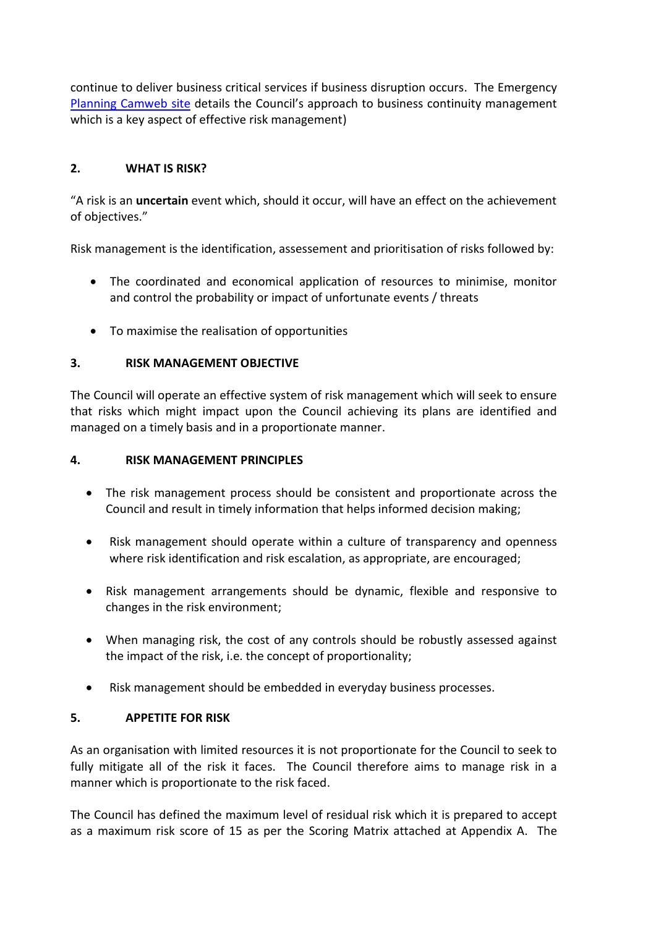continue to deliver business critical services if business disruption occurs. The Emergency [Planning Camweb site](https://cccandpcc.sharepoint.com/sites/CustomerDigitalServices) details the Council's approach to business continuity management which is a key aspect of effective risk management)

# **2. WHAT IS RISK?**

"A risk is an **uncertain** event which, should it occur, will have an effect on the achievement of objectives."

Risk management is the identification, assessement and prioritisation of risks followed by:

- The coordinated and economical application of resources to minimise, monitor and control the probability or impact of unfortunate events / threats
- To maximise the realisation of opportunities

# **3. RISK MANAGEMENT OBJECTIVE**

The Council will operate an effective system of risk management which will seek to ensure that risks which might impact upon the Council achieving its plans are identified and managed on a timely basis and in a proportionate manner.

### **4. RISK MANAGEMENT PRINCIPLES**

- The risk management process should be consistent and proportionate across the Council and result in timely information that helps informed decision making;
- Risk management should operate within a culture of transparency and openness where risk identification and risk escalation, as appropriate, are encouraged;
- Risk management arrangements should be dynamic, flexible and responsive to changes in the risk environment;
- When managing risk, the cost of any controls should be robustly assessed against the impact of the risk, i.e. the concept of proportionality;
- Risk management should be embedded in everyday business processes.

## **5. APPETITE FOR RISK**

As an organisation with limited resources it is not proportionate for the Council to seek to fully mitigate all of the risk it faces. The Council therefore aims to manage risk in a manner which is proportionate to the risk faced.

The Council has defined the maximum level of residual risk which it is prepared to accept as a maximum risk score of 15 as per the Scoring Matrix attached at Appendix A. The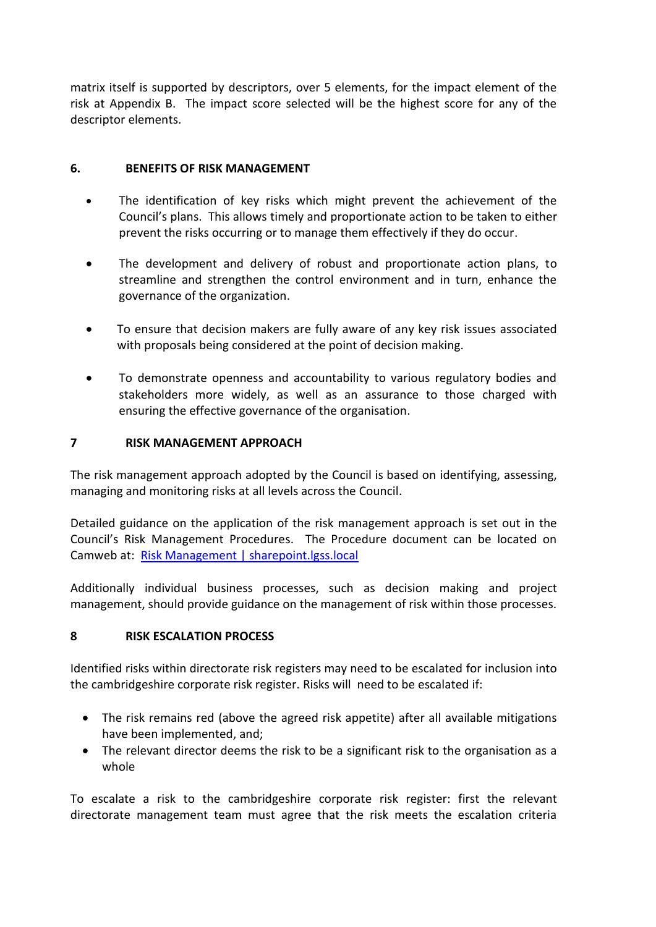matrix itself is supported by descriptors, over 5 elements, for the impact element of the risk at Appendix B. The impact score selected will be the highest score for any of the descriptor elements.

## **6. BENEFITS OF RISK MANAGEMENT**

- The identification of key risks which might prevent the achievement of the Council's plans. This allows timely and proportionate action to be taken to either prevent the risks occurring or to manage them effectively if they do occur.
- The development and delivery of robust and proportionate action plans, to streamline and strengthen the control environment and in turn, enhance the governance of the organization.
- To ensure that decision makers are fully aware of any key risk issues associated with proposals being considered at the point of decision making.
- To demonstrate openness and accountability to various regulatory bodies and stakeholders more widely, as well as an assurance to those charged with ensuring the effective governance of the organisation.

#### **7 RISK MANAGEMENT APPROACH**

The risk management approach adopted by the Council is based on identifying, assessing, managing and monitoring risks at all levels across the Council.

Detailed guidance on the application of the risk management approach is set out in the Council's Risk Management Procedures. The Procedure document can be located on Camweb at: [Risk Management | sharepoint.lgss.local](http://sharepoint.lgss.local/Pages/Risk-Management.aspx)

Additionally individual business processes, such as decision making and project management, should provide guidance on the management of risk within those processes.

## **8 RISK ESCALATION PROCESS**

Identified risks within directorate risk registers may need to be escalated for inclusion into the cambridgeshire corporate risk register. Risks will need to be escalated if:

- The risk remains red (above the agreed risk appetite) after all available mitigations have been implemented, and;
- The relevant director deems the risk to be a significant risk to the organisation as a whole

To escalate a risk to the cambridgeshire corporate risk register: first the relevant directorate management team must agree that the risk meets the escalation criteria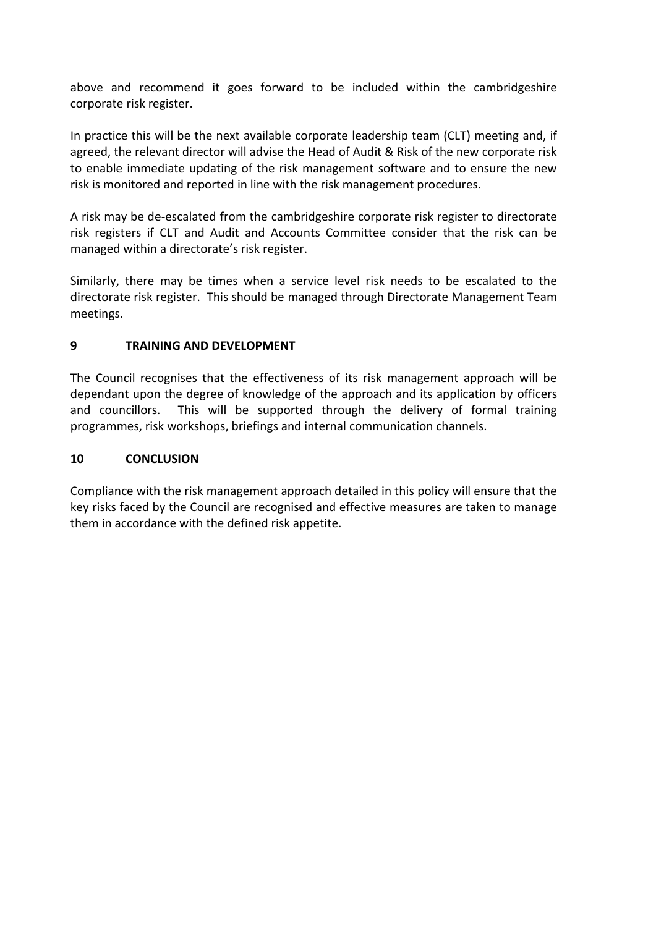above and recommend it goes forward to be included within the cambridgeshire corporate risk register.

In practice this will be the next available corporate leadership team (CLT) meeting and, if agreed, the relevant director will advise the Head of Audit & Risk of the new corporate risk to enable immediate updating of the risk management software and to ensure the new risk is monitored and reported in line with the risk management procedures.

A risk may be de-escalated from the cambridgeshire corporate risk register to directorate risk registers if CLT and Audit and Accounts Committee consider that the risk can be managed within a directorate's risk register.

Similarly, there may be times when a service level risk needs to be escalated to the directorate risk register. This should be managed through Directorate Management Team meetings.

## **9 TRAINING AND DEVELOPMENT**

The Council recognises that the effectiveness of its risk management approach will be dependant upon the degree of knowledge of the approach and its application by officers and councillors. This will be supported through the delivery of formal training programmes, risk workshops, briefings and internal communication channels.

#### **10 CONCLUSION**

Compliance with the risk management approach detailed in this policy will ensure that the key risks faced by the Council are recognised and effective measures are taken to manage them in accordance with the defined risk appetite.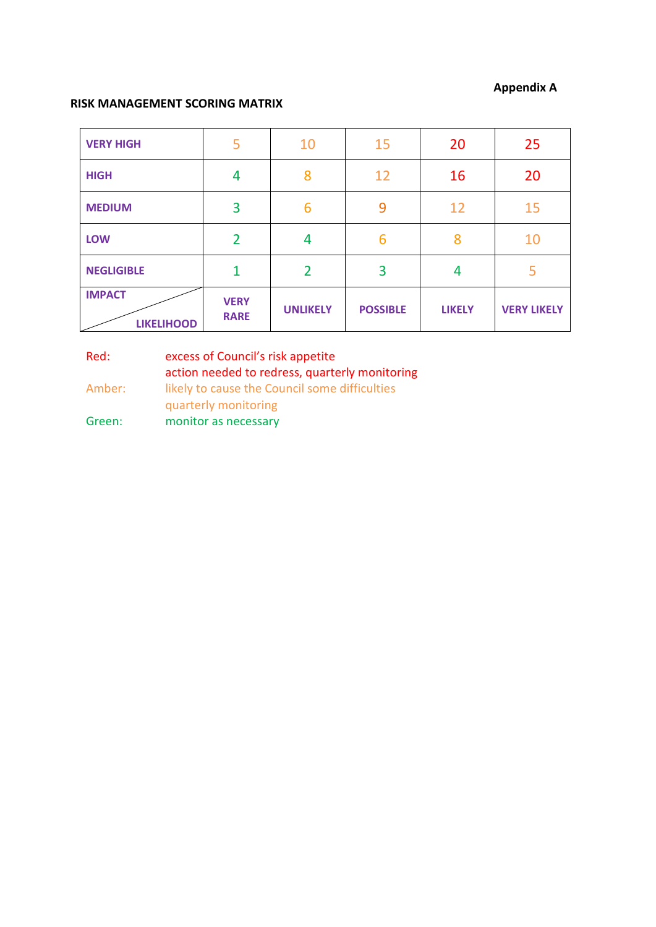#### **Appendix A**

#### **RISK MANAGEMENT SCORING MATRIX**

| <b>VERY HIGH</b>                   | 5                          | 10              | 15              | 20            | 25                 |
|------------------------------------|----------------------------|-----------------|-----------------|---------------|--------------------|
| <b>HIGH</b>                        | 4                          | 8               | 12              | 16            | 20                 |
| <b>MEDIUM</b>                      | 3                          | 6               | 9               | 12            | 15                 |
| <b>LOW</b>                         | $\overline{2}$             | 4               | 6               | 8             | 10                 |
| <b>NEGLIGIBLE</b>                  | $\mathbf{1}$               | $\overline{2}$  | 3               | 4             | 5                  |
| <b>IMPACT</b><br><b>LIKELIHOOD</b> | <b>VERY</b><br><b>RARE</b> | <b>UNLIKELY</b> | <b>POSSIBLE</b> | <b>LIKELY</b> | <b>VERY LIKELY</b> |

Red: excess of Council's risk appetite action needed to redress, quarterly monitoring Amber: likely to cause the Council some difficulties quarterly monitoring Green: monitor as necessary